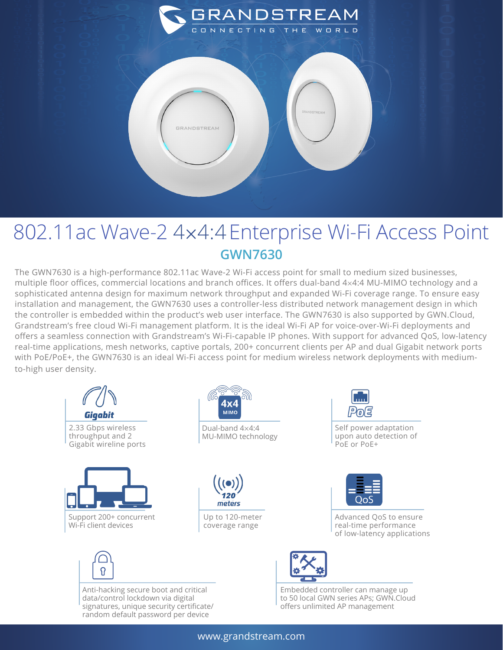

## 802.11ac Wave-2 4×4:4Enterprise Wi-Fi Access Point **GWN7630**

The GWN7630 is a high-performance 802.11ac Wave-2 Wi-Fi access point for small to medium sized businesses, multiple floor offices, commercial locations and branch offices. It offers dual-band 4×4:4 MU-MIMO technology and a sophisticated antenna design for maximum network throughput and expanded Wi-Fi coverage range. To ensure easy installation and management, the GWN7630 uses a controller-less distributed network management design in which the controller is embedded within the product's web user interface. The GWN7630 is also supported by GWN.Cloud, Grandstream's free cloud Wi-Fi management platform. It is the ideal Wi-Fi AP for voice-over-Wi-Fi deployments and offers a seamless connection with Grandstream's Wi-Fi-capable IP phones. With support for advanced QoS, low-latency real-time applications, mesh networks, captive portals, 200+ concurrent clients per AP and dual Gigabit network ports with PoE/PoE+, the GWN7630 is an ideal Wi-Fi access point for medium wireless network deployments with mediumto-high user density.